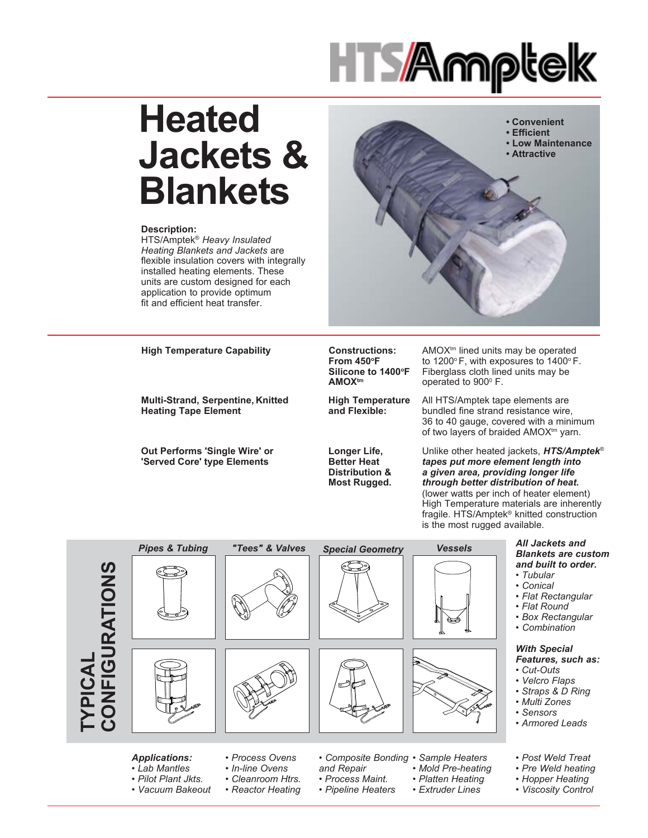

# **Heated Jackets & Blankets**

#### **Description:**

HTS/Amptek® *Heavy Insulated Heating Blankets and Jackets* are flexible insulation covers with integrally installed heating elements. These units are custom designed for each application to provide optimum fit and efficient heat transfer.



**High Temperature Capability Constructions:**

**Multi-Strand, Serpentine, Knitted Heating Tape Element**

**Out Performs 'Single Wire' or 'Served Core' type Elements**

**From 450°F** Silicone to 1400°F **AMOXtm**

**High Temperature** Fiberglass cloth lined units may be operated to 900<sup>°</sup> F.

All HTS/Amptek tape elements are bundled fine strand resistance wire, 36 to 40 gauge, covered with a minimum of two layers of braided AMOX<sup>tm</sup> yarn.

AMOX<sup>tm</sup> lined units may be operated to 1200 $\degree$ F, with exposures to 1400 $\degree$ F.

**Longer Life, Better Heat Distribution & Most Rugged.**

**and Flexible:**

Unlike other heated jackets, *HTS/Amptek*® *tapes put more element length into a given area, providing longer life through better distribution of heat***.** (lower watts per inch of heater element) High Temperature materials are inherently fragile. HTS/Amptek® knitted construction is the most rugged available.